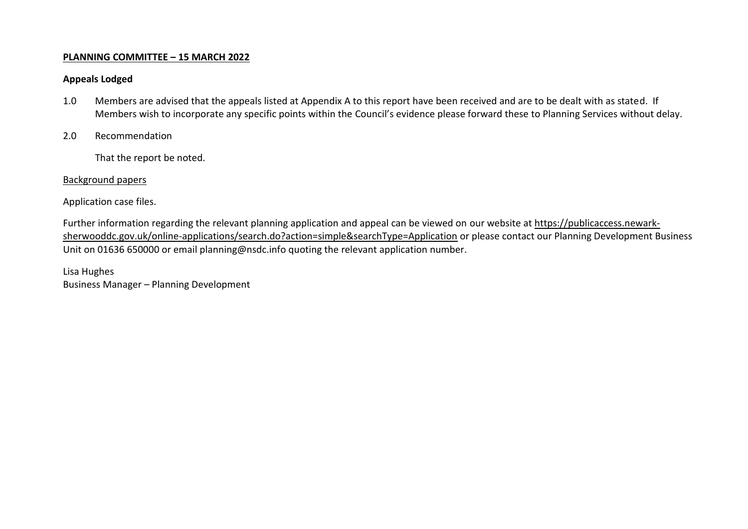## **PLANNING COMMITTEE – 15 MARCH 2022**

## **Appeals Lodged**

- 1.0 Members are advised that the appeals listed at Appendix A to this report have been received and are to be dealt with as stated. If Members wish to incorporate any specific points within the Council's evidence please forward these to Planning Services without delay.
- 2.0 Recommendation

That the report be noted.

## Background papers

Application case files.

Further information regarding the relevant planning application and appeal can be viewed on our website at [https://publicaccess.newark](https://publicaccess.newark-sherwooddc.gov.uk/online-applications/search.do?action=simple&searchType=Application)[sherwooddc.gov.uk/online-applications/search.do?action=simple&searchType=Application](https://publicaccess.newark-sherwooddc.gov.uk/online-applications/search.do?action=simple&searchType=Application) or please contact our Planning Development Business Unit on 01636 650000 or email planning@nsdc.info quoting the relevant application number.

Lisa Hughes Business Manager – Planning Development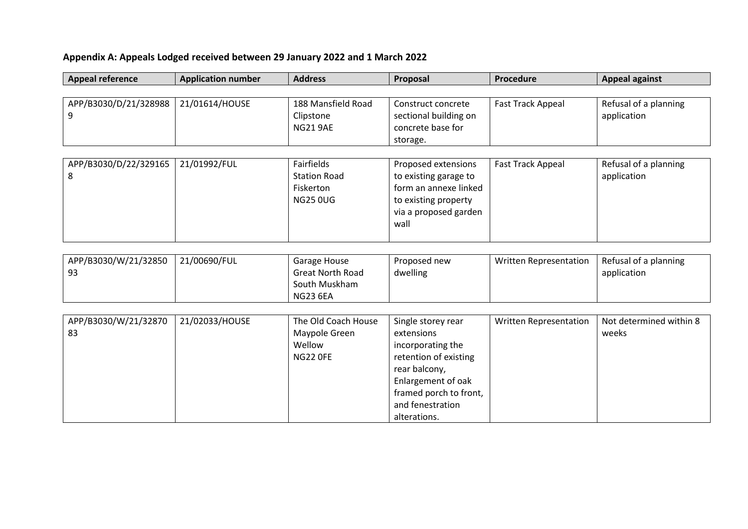## **Appendix A: Appeals Lodged received between 29 January 2022 and 1 March 2022**

| <b>Appeal reference</b> | <b>Application number</b> | <b>Address</b>          | Proposal               | Procedure                     | <b>Appeal against</b>   |  |  |  |
|-------------------------|---------------------------|-------------------------|------------------------|-------------------------------|-------------------------|--|--|--|
|                         |                           |                         |                        |                               |                         |  |  |  |
| APP/B3030/D/21/328988   | 21/01614/HOUSE            | 188 Mansfield Road      | Construct concrete     | Fast Track Appeal             | Refusal of a planning   |  |  |  |
| 9                       |                           | Clipstone               | sectional building on  |                               | application             |  |  |  |
|                         |                           | <b>NG21 9AE</b>         | concrete base for      |                               |                         |  |  |  |
|                         |                           |                         | storage.               |                               |                         |  |  |  |
|                         |                           |                         |                        |                               |                         |  |  |  |
| APP/B3030/D/22/329165   | 21/01992/FUL              | Fairfields              | Proposed extensions    | <b>Fast Track Appeal</b>      | Refusal of a planning   |  |  |  |
| 8                       |                           | <b>Station Road</b>     | to existing garage to  |                               | application             |  |  |  |
|                         |                           | Fiskerton               | form an annexe linked  |                               |                         |  |  |  |
|                         |                           | <b>NG25 0UG</b>         | to existing property   |                               |                         |  |  |  |
|                         |                           |                         | via a proposed garden  |                               |                         |  |  |  |
|                         |                           |                         | wall                   |                               |                         |  |  |  |
|                         |                           |                         |                        |                               |                         |  |  |  |
|                         |                           |                         |                        |                               |                         |  |  |  |
| APP/B3030/W/21/32850    | 21/00690/FUL              | Garage House            | Proposed new           | <b>Written Representation</b> | Refusal of a planning   |  |  |  |
| 93                      |                           | <b>Great North Road</b> | dwelling               |                               | application             |  |  |  |
|                         |                           | South Muskham           |                        |                               |                         |  |  |  |
|                         |                           | <b>NG23 6EA</b>         |                        |                               |                         |  |  |  |
| APP/B3030/W/21/32870    | 21/02033/HOUSE            | The Old Coach House     | Single storey rear     | <b>Written Representation</b> | Not determined within 8 |  |  |  |
| 83                      |                           | Maypole Green           | extensions             |                               | weeks                   |  |  |  |
|                         |                           | Wellow                  | incorporating the      |                               |                         |  |  |  |
|                         |                           | <b>NG22 OFE</b>         | retention of existing  |                               |                         |  |  |  |
|                         |                           |                         | rear balcony,          |                               |                         |  |  |  |
|                         |                           |                         | Enlargement of oak     |                               |                         |  |  |  |
|                         |                           |                         | framed porch to front, |                               |                         |  |  |  |
|                         |                           |                         | and fenestration       |                               |                         |  |  |  |
|                         |                           |                         | alterations.           |                               |                         |  |  |  |